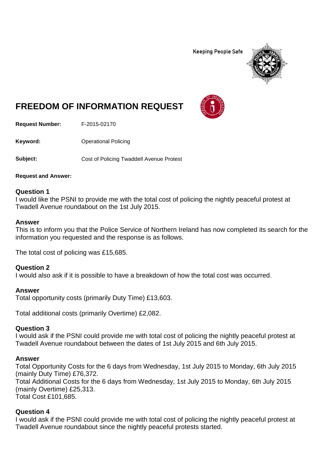**Keeping People Safe** 



# **FREEDOM OF INFORMATION REQUEST**

**Request Number:** F-2015-02170

**Keyword:** Operational Policing

**Subject:** Cost of Policing Twaddell Avenue Protest

**Request and Answer:**

### **Question 1**

I would like the PSNI to provide me with the total cost of policing the nightly peaceful protest at Twadell Avenue roundabout on the 1st July 2015.

#### **Answer**

This is to inform you that the Police Service of Northern Ireland has now completed its search for the information you requested and the response is as follows.

The total cost of policing was £15,685.

### **Question 2**

I would also ask if it is possible to have a breakdown of how the total cost was occurred.

### **Answer**

Total opportunity costs (primarily Duty Time) £13,603.

Total additional costs (primarily Overtime) £2,082.

### **Question 3**

I would ask if the PSNI could provide me with total cost of policing the nightly peaceful protest at Twadell Avenue roundabout between the dates of 1st July 2015 and 6th July 2015.

### **Answer**

Total Opportunity Costs for the 6 days from Wednesday, 1st July 2015 to Monday, 6th July 2015 (mainly Duty Time) £76,372. Total Additional Costs for the 6 days from Wednesday, 1st July 2015 to Monday, 6th July 2015 (mainly Overtime) £25,313. Total Cost £101,685.

### **Question 4**

I would ask if the PSNI could provide me with total cost of policing the nightly peaceful protest at Twadell Avenue roundabout since the nightly peaceful protests started.